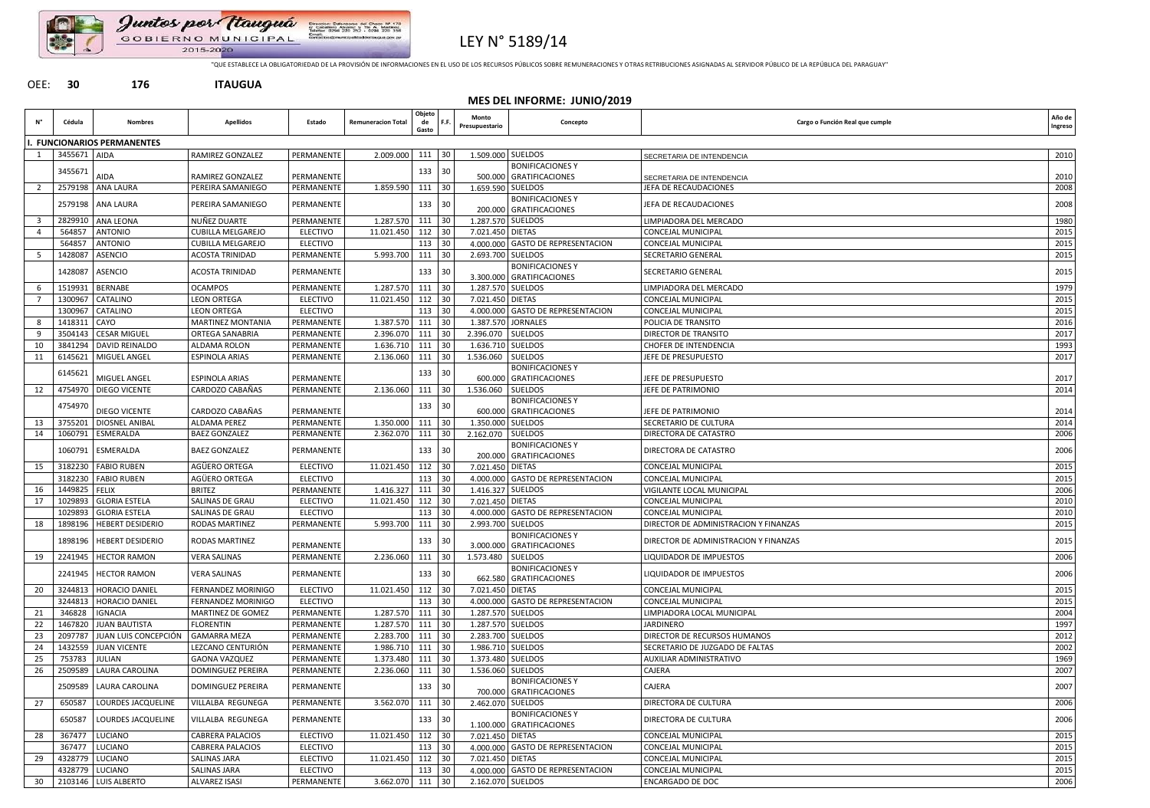

Juntos por Itauguá Direccion: Delensones del Cheo<br>ol Caballero Alvano: y Tre A.<br>Telefaio: 0294 220 252 - 0294 **P. 170**<br>Direct<br>0. 150 GOBIERNO MUNICIPAL 2015-2020

LEY N° 5189/14

"QUE ESTABLECE LA OBLIGATORIEDAD DE LA PROVISIÓN DE INFORMACIONES EN EL USO DE LOS RECURSOS PÚBLICOS SOBRE REMUNERACIONES Y OTRAS RETRIBUCIONES ASIGNADAS AL SERVIDOR PÚBLICO DE LA REPÚBLICA DEL PARAGUAY"

## OEE: **30 176 ITAUGUA**

|    | MES DEL INFORME: JUNIO/2019 |                                      |                              |                                    |                           |                            |                                          |                         |                                                    |                                                        |                   |  |  |
|----|-----------------------------|--------------------------------------|------------------------------|------------------------------------|---------------------------|----------------------------|------------------------------------------|-------------------------|----------------------------------------------------|--------------------------------------------------------|-------------------|--|--|
| Ν° | Cédula                      | <b>Nombres</b>                       | <b>Apellidos</b>             | Estado                             | <b>Remuneracion Total</b> | Objeto<br>de<br>Gasto      | F.F.                                     | Monto<br>Presupuestario | Concepto                                           | Cargo o Función Real que cumple                        | Año de<br>Ingreso |  |  |
|    |                             | . FUNCIONARIOS PERMANENTES           |                              |                                    |                           |                            |                                          |                         |                                                    |                                                        |                   |  |  |
|    | 3455671 AIDA                |                                      | RAMIREZ GONZALEZ             | PERMANENTE                         | 2.009.000                 | 111                        | 30                                       |                         | 1.509.000 SUELDOS                                  | SECRETARIA DE INTENDENCIA                              | 2010              |  |  |
|    | 3455671                     |                                      |                              |                                    |                           | 133 30                     |                                          |                         | <b>BONIFICACIONES Y</b>                            |                                                        |                   |  |  |
|    |                             | <b>AIDA</b>                          | <b>RAMIREZ GONZALEZ</b>      | PERMANENTE                         |                           |                            |                                          |                         | 500.000 GRATIFICACIONES                            | SECRETARIA DE INTENDENCIA                              | 2010              |  |  |
|    |                             | 2579198 ANA LAURA                    | PEREIRA SAMANIEGO            | PERMANENTE                         | 1.859.590                 | 111                        | 30                                       |                         | 1.659.590 SUELDOS                                  | JEFA DE RECAUDACIONES                                  | 2008              |  |  |
|    |                             | 2579198   ANA LAURA                  | PEREIRA SAMANIEGO            | PERMANENTE                         |                           | 133 30                     |                                          |                         | <b>BONIFICACIONES Y</b><br>200.000 GRATIFICACIONES | JEFA DE RECAUDACIONES                                  | 2008              |  |  |
| 3  | 2829910                     | <b>ANA LEONA</b>                     | NUÑEZ DUARTE                 | PERMANENTE                         | 1.287.570 111 30          |                            |                                          |                         | 1.287.570 SUELDOS                                  | LIMPIADORA DEL MERCADO                                 | 1980              |  |  |
|    | 564857                      | <b>ANTONIO</b>                       | <b>CUBILLA MELGAREJO</b>     | <b>ELECTIVO</b>                    | 11.021.450                | $112$ 30                   |                                          | 7.021.450 DIETAS        |                                                    | <b>CONCEJAL MUNICIPAL</b>                              | 2015              |  |  |
|    | 564857                      | <b>ANTONIO</b>                       | CUBILLA MELGAREJO            | <b>ELECTIVO</b>                    |                           | $113$ 30                   |                                          |                         | 4.000.000 GASTO DE REPRESENTACION                  | <b>CONCEJAL MUNICIPAL</b>                              | 2015              |  |  |
|    | 1428087                     | ASENCIO                              | <b>ACOSTA TRINIDAD</b>       | PERMANENTE                         | 5.993.700                 | 111 30                     |                                          | 2.693.700 SUELDOS       |                                                    | <b>SECRETARIO GENERAL</b>                              | 2015              |  |  |
|    |                             | 1428087 ASENCIO                      |                              |                                    |                           |                            |                                          |                         | <b>BONIFICACIONES Y</b>                            |                                                        |                   |  |  |
|    |                             |                                      | <b>ACOSTA TRINIDAD</b>       | PERMANENTE                         |                           | 133                        | $\begin{array}{c} 30 \\ -3 \end{array}$  |                         | 3.300.000 GRATIFICACIONES                          | SECRETARIO GENERAL                                     | 2015              |  |  |
| 6  | 1519931                     | BERNABE                              | <b>OCAMPOS</b>               | PERMANENTE                         | 1.287.570 111 30          |                            |                                          | 1.287.570 SUELDOS       |                                                    | LIMPIADORA DEL MERCADO                                 | 1979              |  |  |
|    | 1300967                     | <b>CATALINO</b>                      | <b>LEON ORTEGA</b>           | <b>ELECTIVO</b>                    | 11.021.450                | 112                        | 30                                       | 7.021.450 DIETAS        |                                                    | <b>CONCEJAL MUNICIPAL</b>                              | 2015              |  |  |
|    | 1300967                     | <b>CATALINO</b>                      | <b>LEON ORTEGA</b>           | <b>ELECTIVO</b>                    |                           | 113                        | $ 30\rangle$                             |                         | 4.000.000 GASTO DE REPRESENTACION                  | CONCEJAL MUNICIPAL                                     | 2015              |  |  |
| 8  | 1418311                     | <b>CAYO</b>                          | <b>MARTINEZ MONTANIA</b>     | PERMANENTE                         | 1.387.570                 | 111                        | 30                                       |                         | 1.387.570 JORNALES                                 | POLICIA DE TRANSITO                                    | 2016              |  |  |
| 9  | 3504143                     | <b>CESAR MIGUEL</b>                  | ORTEGA SANABRIA              | PERMANENTE                         | 2.396.070                 | 111                        | $\begin{array}{c} \end{array}$           | 2.396.070 SUELDOS       |                                                    | <b>DIRECTOR DE TRANSITO</b>                            | 2017              |  |  |
| 10 | 3841294                     | DAVID REINALDO                       | ALDAMA ROLON                 | PERMANENTE                         | $1.636.710$ 111 30        |                            |                                          | 1.636.710 SUELDOS       |                                                    | <b>CHOFER DE INTENDENCIA</b>                           | 1993              |  |  |
| 11 |                             | 6145621 MIGUEL ANGEL                 | <b>ESPINOLA ARIAS</b>        | PERMANENTE                         | 2.136.060                 | 111                        | $\begin{array}{c} 30 \\ -3 \end{array}$  | 1.536.060 SUELDOS       |                                                    | JEFE DE PRESUPUESTO                                    | 2017              |  |  |
|    | 6145621                     | MIGUEL ANGEL                         | <b>ESPINOLA ARIAS</b>        | PERMANENTE                         |                           | 133                        | $ 30\rangle$                             |                         | <b>BONIFICACIONES Y</b><br>600.000 GRATIFICACIONES | JEFE DE PRESUPUESTO                                    | 2017              |  |  |
| 12 | 4754970                     | <b>DIEGO VICENTE</b>                 | CARDOZO CABAÑAS              | PERMANENTE                         | 2.136.060                 | 111                        | 30                                       | 1.536.060               | <b>SUELDOS</b>                                     | JEFE DE PATRIMONIO                                     | 2014              |  |  |
|    |                             |                                      |                              |                                    |                           |                            |                                          |                         | <b>BONIFICACIONES Y</b>                            |                                                        |                   |  |  |
|    | 4754970                     | <b>DIEGO VICENTE</b>                 | CARDOZO CABAÑAS              | PERMANENTE                         |                           | 133                        | $\begin{array}{c} 30 \\ -3 \end{array}$  |                         | 600.000 GRATIFICACIONES                            | JEFE DE PATRIMONIO                                     | 2014              |  |  |
| 13 |                             | 3755201 DIOSNEL ANIBAL               | ALDAMA PEREZ                 | PERMANENTE                         | 1.350.000                 | 111 30                     |                                          |                         | 1.350.000 SUELDOS                                  | SECRETARIO DE CULTURA                                  | 2014              |  |  |
| 14 |                             | 1060791   ESMERALDA                  | <b>BAEZ GONZALEZ</b>         | PERMANENTE                         | 2.362.070                 | 111                        | $\begin{array}{c} 30 \\ -30 \end{array}$ | 2.162.070 SUELDOS       |                                                    | <b>DIRECTORA DE CATASTRO</b>                           | 2006              |  |  |
|    |                             | 1060791   ESMERALDA                  | <b>BAEZ GONZALEZ</b>         | PERMANENTE                         |                           | 133 30                     |                                          |                         | <b>BONIFICACIONES Y</b>                            | <b>DIRECTORA DE CATASTRO</b>                           | 2006              |  |  |
|    |                             | 3182230   FABIO RUBEN                | AGÜERO ORTEGA                | <b>ELECTIVO</b>                    | 11.021.450                |                            | $30$                                     | 7.021.450 DIETAS        | 200.000 GRATIFICACIONES                            | CONCEJAL MUNICIPAL                                     |                   |  |  |
| 15 |                             | 3182230 FABIO RUBEN                  | AGÜERO ORTEGA                | <b>ELECTIVO</b>                    |                           | 112<br>$113\overline{)30}$ |                                          |                         | 4.000.000 GASTO DE REPRESENTACION                  | <b>CONCEJAL MUNICIPAL</b>                              | 2015<br>2015      |  |  |
| 16 | 1449825 FELIX               |                                      | <b>BRITEZ</b>                | PERMANENTE                         | $1.416.327$ 111 30        |                            |                                          |                         | 1.416.327 SUELDOS                                  | VIGILANTE LOCAL MUNICIPAL                              | 2006              |  |  |
| 17 |                             | 1029893 GLORIA ESTELA                | SALINAS DE GRAU              | <b>ELECTIVO</b>                    | 11.021.450 112 30         |                            |                                          | 7.021.450 DIETAS        |                                                    | <b>CONCEJAL MUNICIPAL</b>                              | 2010              |  |  |
|    | 1029893                     | <b>GLORIA ESTELA</b>                 | SALINAS DE GRAU              | <b>ELECTIVO</b>                    |                           | $113$ 30                   |                                          |                         | 4.000.000 GASTO DE REPRESENTACION                  | <b>CONCEJAL MUNICIPAL</b>                              | 2010              |  |  |
| 18 | 1898196                     | <b>HEBERT DESIDERIO</b>              | <b>RODAS MARTINEZ</b>        | PERMANENTE                         | 5.993.700                 | 111                        | 30                                       |                         | 2.993.700 SUELDOS                                  | <b>DIRECTOR DE ADMINISTRACION Y FINANZAS</b>           | 2015              |  |  |
|    |                             | 1898196   HEBERT DESIDERIO           | <b>RODAS MARTINEZ</b>        |                                    |                           | $133$ 30                   |                                          |                         | <b>BONIFICACIONES Y</b>                            | DIRECTOR DE ADMINISTRACION Y FINANZAS                  | 2015              |  |  |
|    |                             |                                      |                              | PERMANENTE                         |                           |                            |                                          |                         | 3.000.000 GRATIFICACIONES                          |                                                        |                   |  |  |
| 19 |                             | 2241945   HECTOR RAMON               | <b>VERA SALINAS</b>          | PERMANENTE                         | $2.236.060$ 111 30        |                            |                                          | 1.573.480 SUELDOS       |                                                    | LIQUIDADOR DE IMPUESTOS                                | 2006              |  |  |
|    |                             | 2241945   HECTOR RAMON               | <b>VERA SALINAS</b>          | PERMANENTE                         |                           | $133$ 30                   |                                          |                         | <b>BONIFICACIONESY</b><br>662.580 GRATIFICACIONES  | LIQUIDADOR DE IMPUESTOS                                | 2006              |  |  |
| 20 |                             | 3244813   HORACIO DANIEL             | <b>FERNANDEZ MORINIGO</b>    | <b>ELECTIVO</b>                    | 11.021.450                | 112                        | 30                                       | 7.021.450 DIETAS        |                                                    | <b>CONCEJAL MUNICIPAL</b>                              | 2015              |  |  |
|    | 3244813                     | <b>HORACIO DANIEL</b>                | FERNANDEZ MORINIGO           | <b>ELECTIVO</b>                    |                           | $113$ 30                   |                                          |                         | 4.000.000 GASTO DE REPRESENTACION                  | CONCEJAL MUNICIPAL                                     | 2015              |  |  |
| 21 | 346828                      | <b>IGNACIA</b>                       | MARTINEZ DE GOMEZ            | PERMANENTE                         | 1.287.570                 | 111                        | 30                                       |                         | 1.287.570 SUELDOS                                  | LIMPIADORA LOCAL MUNICIPAL                             | 2004              |  |  |
| 22 | 1467820                     | <b>JUAN BAUTISTA</b>                 | <b>FLORENTIN</b>             | PERMANENTE                         | 1.287.570 111 30          |                            |                                          |                         | 1.287.570 SUELDOS                                  | <b>JARDINERO</b>                                       | 1997              |  |  |
| 23 | 2097787                     | JUAN LUIS CONCEPCIÓN                 | <b>GAMARRA MEZA</b>          | PERMANENTE                         | 2.283.700 111 30          |                            |                                          |                         | 2.283.700 SUELDOS                                  | <b>DIRECTOR DE RECURSOS HUMANOS</b>                    | 2012              |  |  |
| 24 | 1432559                     | <b>JUAN VICENTE</b>                  | LEZCANO CENTURIÓN            | PERMANENTE                         | 1.986.710 111             |                            | $ 30\rangle$                             |                         | 1.986.710 SUELDOS                                  | SECRETARIO DE JUZGADO DE FALTAS                        | 2002              |  |  |
| 25 | 753783                      | JULIAN                               | <b>GAONA VAZQUEZ</b>         | PERMANENTE                         | 1.373.480                 | 111                        | $30$                                     |                         | 1.373.480 SUELDOS                                  | <b>AUXILIAR ADMINISTRATIVO</b>                         | 1969              |  |  |
| 26 | 2509589                     | LAURA CAROLINA                       | DOMINGUEZ PEREIRA            | PERMANENTE                         | 2.236.060                 | $111$ 30                   |                                          |                         | 1.536.060 SUELDOS                                  | CAJERA                                                 | 2007              |  |  |
|    |                             | 2509589   LAURA CAROLINA             | DOMINGUEZ PEREIRA            | PERMANENTE                         |                           | $133$ 30                   |                                          |                         | <b>BONIFICACIONES Y</b><br>700.000 GRATIFICACIONES | <b>CAJERA</b>                                          | 2007              |  |  |
| 27 | 650587                      | LOURDES JACQUELINE                   | VILLALBA REGUNEGA            | PERMANENTE                         | 3.562.070 111 30          |                            |                                          |                         | 2.462.070 SUELDOS                                  | <b>DIRECTORA DE CULTURA</b>                            | 2006              |  |  |
|    | 650587                      | LOURDES JACQUELINE                   | VILLALBA REGUNEGA            | PERMANENTE                         |                           | 133 30                     |                                          |                         | <b>BONIFICACIONES Y</b>                            | DIRECTORA DE CULTURA                                   | 2006              |  |  |
|    |                             |                                      |                              |                                    |                           |                            |                                          |                         | 1.100.000 GRATIFICACIONES                          |                                                        |                   |  |  |
| 28 | 367477                      | LUCIANO                              | <b>CABRERA PALACIOS</b>      | <b>ELECTIVO</b>                    | 11.021.450 112 30         |                            |                                          | 7.021.450 DIETAS        |                                                    | <b>CONCEJAL MUNICIPAL</b>                              | 2015              |  |  |
|    | 367477                      | LUCIANO                              | <b>CABRERA PALACIOS</b>      | <b>ELECTIVO</b>                    |                           | $113$ 30<br>112 30         |                                          |                         | 4.000.000 GASTO DE REPRESENTACION                  | <b>CONCEJAL MUNICIPAL</b>                              | 2015              |  |  |
| 29 |                             | 4328779 LUCIANO<br>4328779   LUCIANO | SALINAS JARA<br>SALINAS JARA | <b>ELECTIVO</b><br><b>ELECTIVO</b> | 11.021.450                | 113 30                     |                                          | 7.021.450 DIETAS        | 4.000.000 GASTO DE REPRESENTACION                  | <b>CONCEJAL MUNICIPAL</b><br><b>CONCEJAL MUNICIPAL</b> | 2015<br>2015      |  |  |
|    |                             | 30 2103146 LUIS ALBERTO              | ALVAREZ ISASI                | PERMANENTE                         | 3.662.070 111 30          |                            |                                          |                         | 2.162.070 SUELDOS                                  | <b>ENCARGADO DE DOC</b>                                | 2006              |  |  |
|    |                             |                                      |                              |                                    |                           |                            |                                          |                         |                                                    |                                                        |                   |  |  |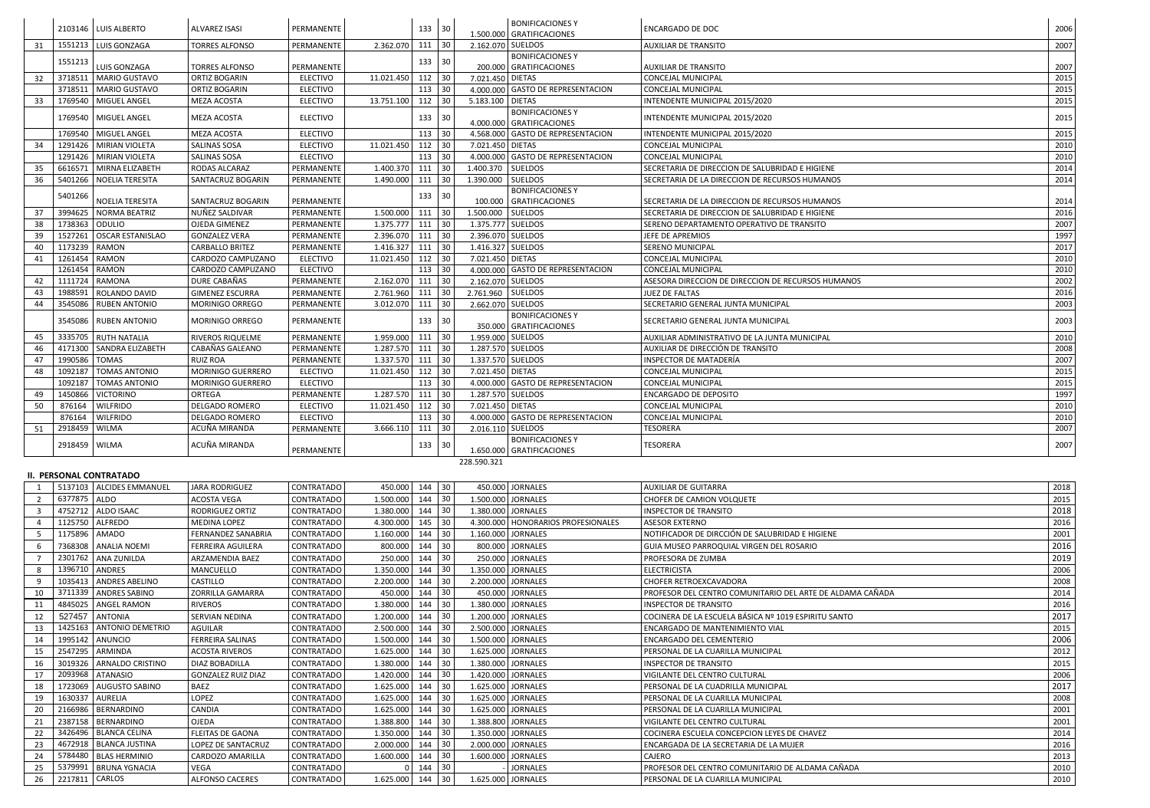|          |                    | 2103146   LUIS ALBERTO                     | <b>ALVAREZ ISASI</b>                        | PERMANENTE                    |                        | 133 30                  |                                          |                   | <b>BONIFICACIONESY</b>                            | <b>ENCARGADO DE DOC</b>                                       | 2006         |
|----------|--------------------|--------------------------------------------|---------------------------------------------|-------------------------------|------------------------|-------------------------|------------------------------------------|-------------------|---------------------------------------------------|---------------------------------------------------------------|--------------|
|          |                    |                                            |                                             |                               |                        |                         |                                          |                   | 1.500.000 GRATIFICACIONES                         |                                                               |              |
| 31       |                    | 1551213   LUIS GONZAGA                     | <b>TORRES ALFONSO</b>                       | PERMANENTE                    | 2.362.070              | $111 \quad 30$          |                                          | 2.162.070 SUELDOS |                                                   | <b>AUXILIAR DE TRANSITO</b>                                   | 2007         |
|          | 1551213            | LUIS GONZAGA                               | <b>TORRES ALFONSO</b>                       | PERMANENTE                    |                        | 133 30                  |                                          |                   | <b>BONIFICACIONESY</b><br>200.000 GRATIFICACIONES |                                                               | 2007         |
| 32       |                    | 3718511   MARIO GUSTAVO                    | <b>ORTIZ BOGARIN</b>                        | <b>ELECTIVO</b>               | 11.021.450             | 112                     | $\begin{array}{c} 30 \\ -30 \end{array}$ | 7.021.450 DIETAS  |                                                   | <b>AUXILIAR DE TRANSITO</b><br>CONCEJAL MUNICIPAL             | 2015         |
|          |                    | 3718511   MARIO GUSTAVO                    | ORTIZ BOGARIN                               | <b>ELECTIVO</b>               |                        | 113 30                  |                                          |                   | 4.000.000 GASTO DE REPRESENTACION                 | <b>CONCEJAL MUNICIPAL</b>                                     | 2015         |
| 33       |                    | 1769540   MIGUEL ANGEL                     | <b>MEZA ACOSTA</b>                          | <b>ELECTIVO</b>               | 13.751.100             | 112                     | 30                                       | 5.183.100 DIETAS  |                                                   | INTENDENTE MUNICIPAL 2015/2020                                | 2015         |
|          |                    |                                            |                                             |                               |                        |                         |                                          |                   | <b>BONIFICACIONES Y</b>                           |                                                               |              |
|          |                    | 1769540   MIGUEL ANGEL                     | MEZA ACOSTA                                 | <b>ELECTIVO</b>               |                        | 133 30                  |                                          |                   | 4.000.000 GRATIFICACIONES                         | INTENDENTE MUNICIPAL 2015/2020                                | 2015         |
|          | 1769540            | MIGUEL ANGEL                               | <b>MEZA ACOSTA</b>                          | <b>ELECTIVO</b>               |                        | $113$ 30                |                                          |                   | 4.568.000 GASTO DE REPRESENTACION                 | INTENDENTE MUNICIPAL 2015/2020                                | 2015         |
| 34       | 1291426            | <b>MIRIAN VIOLETA</b>                      | SALINAS SOSA                                | <b>ELECTIVO</b>               | 11.021.450             | $112$ 30                |                                          | 7.021.450 DIETAS  |                                                   | CONCEJAL MUNICIPAL                                            | 2010         |
|          |                    | 1291426   MIRIAN VIOLETA                   | SALINAS SOSA                                | <b>ELECTIVO</b>               |                        | $113$ 30                |                                          |                   | 4.000.000 GASTO DE REPRESENTACION                 | <b>CONCEJAL MUNICIPAL</b>                                     | 2010         |
| 35       | 6616571            | MIRNA ELIZABETH                            | RODAS ALCARAZ                               | PERMANENTE                    | 1.400.370              | $111$ 30                |                                          | 1.400.370 SUELDOS |                                                   | SECRETARIA DE DIRECCION DE SALUBRIDAD E HIGIENE               | 2014         |
| 36       | 5401266            | NOELIA TERESITA                            | SANTACRUZ BOGARIN                           | PERMANENTE                    | 1.490.000              | 111 30                  |                                          | 1.390.000 SUELDOS |                                                   | SECRETARIA DE LA DIRECCION DE RECURSOS HUMANOS                | 2014         |
|          | 5401266            | NOELIA TERESITA                            | SANTACRUZ BOGARIN                           | PERMANENTE                    |                        | 133 30                  |                                          |                   | <b>BONIFICACIONESY</b><br>100.000 GRATIFICACIONES | SECRETARIA DE LA DIRECCION DE RECURSOS HUMANOS                | 2014         |
| 37       | 3994625            | NORMA BEATRIZ                              | NUÑEZ SALDIVAR                              | PERMANENTE                    | 1.500.000              | 111 30                  |                                          | 1.500.000 SUELDOS |                                                   | SECRETARIA DE DIRECCION DE SALUBRIDAD E HIGIENE               | 2016         |
| 38       | 1738363 ODULIO     |                                            | OJEDA GIMENEZ                               | PERMANENTE                    | 1.375.777              | $111$ 30                |                                          | 1.375.777 SUELDOS |                                                   | SERENO DEPARTAMENTO OPERATIVO DE TRANSITO                     | 2007         |
| 39       | 1527261            | <b>OSCAR ESTANISLAO</b>                    | <b>GONZALEZ VERA</b>                        | PERMANENTE                    | 2.396.070              | $111$ 30                |                                          | 2.396.070 SUELDOS |                                                   | JEFE DE APREMIOS                                              | 1997         |
| 40       | 1173239            | <b>RAMON</b>                               | <b>CARBALLO BRITEZ</b>                      | PERMANENTE                    | 1.416.327              | 111 30                  |                                          | 1.416.327 SUELDOS |                                                   | SERENO MUNICIPAL                                              | 2017         |
| 41       | 1261454            | RAMON                                      | CARDOZO CAMPUZANO                           | <b>ELECTIVO</b>               | 11.021.450             | 112 30                  |                                          | 7.021.450 DIETAS  |                                                   | CONCEJAL MUNICIPAL                                            | 2010         |
|          | 1261454            | <b>RAMON</b>                               | CARDOZO CAMPUZANO                           | <b>ELECTIVO</b>               |                        | 113                     | 30 <sup>°</sup>                          |                   | 4.000.000 GASTO DE REPRESENTACION                 | CONCEJAL MUNICIPAL                                            | 2010         |
| 42       | 1111724            | <b>RAMONA</b>                              | DURE CABAÑAS                                | PERMANENTE                    | 2.162.070              | $111$ 30                |                                          | 2.162.070 SUELDOS |                                                   | ASESORA DIRECCION DE DIRECCION DE RECURSOS HUMANOS            | 2002         |
| 43       | 1988591            | ROLANDO DAVID                              | <b>GIMENEZ ESCURRA</b>                      | PERMANENTE                    | 2.761.960              | 111                     | 30                                       | 2.761.960 SUELDOS |                                                   | JUEZ DE FALTAS                                                | 2016         |
| 44       | 3545086            | <b>RUBEN ANTONIO</b>                       | MORINIGO ORREGO                             | PERMANENTE                    | 3.012.070              | 111 30                  |                                          | 2.662.070 SUELDOS |                                                   | SECRETARIO GENERAL JUNTA MUNICIPAL                            | 2003         |
|          |                    | 3545086 RUBEN ANTONIO                      | MORINIGO ORREGO                             | PERMANENTE                    |                        | 133 30                  |                                          |                   | <b>BONIFICACIONESY</b>                            | SECRETARIO GENERAL JUNTA MUNICIPAL                            | 2003         |
|          |                    |                                            |                                             |                               |                        |                         |                                          |                   | 350.000 GRATIFICACIONES                           |                                                               |              |
| 45       |                    | 3335705   RUTH NATALIA                     | RIVEROS RIQUELME                            | PERMANENTE                    | 1.959.000              | $111$ 30                |                                          |                   | 1.959.000 SUELDOS                                 | AUXILIAR ADMINISTRATIVO DE LA JUNTA MUNICIPAL                 | 2010         |
| 46       | 4171300            | SANDRA ELIZABETH                           | CABAÑAS GALEANO                             | PERMANENTE                    | 1.287.570              | 111 30                  |                                          | 1.287.570 SUELDOS |                                                   | AUXILIAR DE DIRECCIÓN DE TRANSITO                             | 2008         |
| 47       | 1990586<br>1092187 | <b>TOMAS</b><br><b>TOMAS ANTONIO</b>       | <b>RUIZ ROA</b><br>MORINIGO GUERRERO        | PERMANENTE<br><b>ELECTIVO</b> | 1.337.570              | 111 30<br>$112 \mid 30$ |                                          | 1.337.570 SUELDOS |                                                   | INSPECTOR DE MATADERÍA                                        | 2007         |
| 48       | 1092187            | <b>TOMAS ANTONIO</b>                       | MORINIGO GUERRERO                           | <b>ELECTIVO</b>               | 11.021.450             | 113                     | 30                                       | 7.021.450 DIETAS  | 4.000.000 GASTO DE REPRESENTACION                 | <b>CONCEJAL MUNICIPAL</b><br>CONCEJAL MUNICIPAL               | 2015<br>2015 |
| 49       | 1450866            | <b>VICTORINO</b>                           | ORTEGA                                      | PERMANENTE                    | $1.287.570$ 111 30     |                         |                                          | 1.287.570 SUELDOS |                                                   | <b>ENCARGADO DE DEPOSITO</b>                                  | 1997         |
|          |                    | 876164   WILFRIDO                          | <b>DELGADO ROMERO</b>                       | <b>ELECTIVO</b>               | 11.021.450 112 30      |                         |                                          | 7.021.450 DIETAS  |                                                   | <b>CONCEJAL MUNICIPAL</b>                                     | 2010         |
|          | 876164             | <b>WILFRIDO</b>                            | DELGADO ROMERO                              | <b>ELECTIVO</b>               |                        | 113 30                  |                                          |                   | 4.000.000 GASTO DE REPRESENTACION                 | CONCEJAL MUNICIPAL                                            | 2010         |
| 51       | 2918459            | <b>WILMA</b>                               | ACUÑA MIRANDA                               | PERMANENTE                    | 3.666.110              | 111 30                  |                                          | 2.016.110 SUELDOS |                                                   | <b>TESORERA</b>                                               | 2007         |
|          |                    |                                            | ACUÑA MIRANDA                               |                               |                        |                         |                                          |                   | <b>BONIFICACIONESY</b>                            |                                                               |              |
|          | 2918459 WILMA      |                                            |                                             | PERMANENTE                    |                        | 133 30                  |                                          |                   | 1.650.000 GRATIFICACIONES                         | <b>TESORERA</b>                                               | 2007         |
|          |                    |                                            |                                             |                               |                        |                         |                                          | 228.590.321       |                                                   |                                                               |              |
|          |                    | <b>II. PERSONAL CONTRATADO</b>             |                                             |                               |                        |                         |                                          |                   |                                                   |                                                               |              |
|          |                    | 5137103 ALCIDES EMMANUEL                   | <b>JARA RODRIGUEZ</b>                       | CONTRATADO                    | 450.000                | $144$ 30                |                                          |                   | 450.000 JORNALES                                  | <b>AUXILIAR DE GUITARRA</b>                                   | 2018         |
|          | 6377875 ALDO       |                                            | ACOSTA VEGA                                 | CONTRATADO                    | 1.500.000              | 144 30                  |                                          |                   | 1.500.000 JORNALES                                | CHOFER DE CAMION VOLQUETE                                     | 2015         |
|          |                    | 4752712   ALDO ISAAC                       | RODRIGUEZ ORTIZ                             | CONTRATADO                    | 1.380.000              | 144                     | 30                                       |                   | 1.380.000 JORNALES                                | <b>INSPECTOR DE TRANSITO</b>                                  | 2018         |
|          |                    | 1125750 ALFREDO                            | MEDINA LOPEZ                                | CONTRATADO                    | 4.300.000              | 145 30                  |                                          |                   | 4.300.000 HONORARIOS PROFESIONALES                | <b>ASESOR EXTERNO</b>                                         | 2016         |
|          | 1175896            | AMADO                                      | FERNANDEZ SANABRIA                          | CONTRATADO                    | 1.160.000              | 144                     | 30                                       |                   | 1.160.000 JORNALES                                | NOTIFICADOR DE DIRCCIÓN DE SALUBRIDAD E HIGIENE               | 2001         |
|          | 7368308            | <b>ANALIA NOEMI</b>                        | FERREIRA AGUILERA                           | CONTRATADO                    | 800.000                | 144 30                  |                                          |                   | 800.000 JORNALES                                  | GUIA MUSEO PARROQUIAL VIRGEN DEL ROSARIO                      | 2016         |
|          |                    | 2301762 ANA ZUNILDA                        | ARZAMENDIA BAEZ                             | CONTRATADO                    | 250.000                | 144 30                  |                                          |                   | 250.000 JORNALES                                  | PROFESORA DE ZUMBA                                            | 2019         |
|          | 1396710            | ANDRES                                     | MANCUELLO                                   | CONTRATADO                    | 1.350.000              | 144                     | 30                                       |                   | 1.350.000 JORNALES                                | <b>ELECTRICISTA</b>                                           | 2006         |
|          |                    | 1035413   ANDRES ABELINO                   | CASTILLO                                    | CONTRATADO                    | 2.200.000              | 144                     | 30                                       |                   | 2.200.000 JORNALES                                | CHOFER RETROEXCAVADORA                                        | 2008         |
| 10       | 3711339            | <b>ANDRES SABINO</b>                       | <b>ZORRILLA GAMARRA</b>                     | CONTRATADO                    | 450.000                | 144 30                  |                                          |                   | 450.000 JORNALES                                  | PROFESOR DEL CENTRO COMUNITARIO DEL ARTE DE ALDAMA CAÑADA     | 2014         |
| 11       |                    | 4845025 ANGEL RAMON                        | <b>RIVEROS</b>                              | CONTRATADO                    | 1.380.000              | 144                     | $ 30\rangle$                             |                   | 1.380.000 JORNALES                                | <b>INSPECTOR DE TRANSITO</b>                                  | 2016         |
| 12       | 527457             | <b>ANTONIA</b>                             | SERVIAN NEDINA                              | CONTRATADO                    | 1.200.000              | 144                     | 30                                       |                   | 1.200.000 JORNALES                                | COCINERA DE LA ESCUELA BÁSICA Nº 1019 ESPIRITU SANTO          | 2017         |
| 13       |                    | 1425163   ANTONIO DEMETRIO                 | AGUILAR                                     | CONTRATADO                    | 2.500.000              | 144                     | 30                                       |                   | 2.500.000 JORNALES                                | ENCARGADO DE MANTENIMIENTO VIAL                               | 2015         |
| 14       | 1995142            | ANUNCIO<br>2547295 ARMINDA                 | FERREIRA SALINAS                            | CONTRATADO                    | 1.500.000              | 144                     | 30<br>30                                 |                   | 1.500.000 JORNALES<br>1.625.000 JORNALES          | ENCARGADO DEL CEMENTERIO                                      | 2006         |
| 15       |                    |                                            | <b>ACOSTA RIVEROS</b>                       | CONTRATADO                    | 1.625.000              | 144                     |                                          |                   |                                                   | PERSONAL DE LA CUARILLA MUNICIPAL                             | 2012         |
| 16<br>17 | 3019326<br>2093968 | <b>ARNALDO CRISTINO</b><br><b>ATANASIO</b> | DIAZ BOBADILLA<br><b>GONZALEZ RUIZ DIAZ</b> | CONTRATADO<br>CONTRATADO      | 1.380.000<br>1.420.000 | 144<br>144              | 30<br>$ 30\rangle$                       |                   | 1.380.000 JORNALES<br>1.420.000 JORNALES          | <b>INSPECTOR DE TRANSITO</b><br>VIGILANTE DEL CENTRO CULTURAL | 2015<br>2006 |
| 18       | 1723069            | <b>AUGUSTO SABINO</b>                      | <b>BAEZ</b>                                 | CONTRATADO                    | 1.625.000              | 144                     | 30                                       |                   | 1.625.000 JORNALES                                | PERSONAL DE LA CUADRILLA MUNICIPAL                            | 2017         |
| 19       | 1630337            | <b>AURELIA</b>                             | LOPEZ                                       | CONTRATADO                    | 1.625.000              | 144 30                  |                                          |                   | 1.625.000 JORNALES                                | PERSONAL DE LA CUARILLA MUNICIPAL                             | 2008         |
| 20       | 2166986            | BERNARDINO                                 | CANDIA                                      | CONTRATADO                    | 1.625.000              | 144                     | 30                                       |                   | 1.625.000 JORNALES                                | PERSONAL DE LA CUARILLA MUNICIPAL                             | 2001         |
| 21       | 2387158            | <b>BERNARDINO</b>                          | OJEDA                                       | <b>CONTRATADO</b>             | 1.388.800              | 144                     | 30                                       |                   | 1.388.800 JORNALES                                | VIGILANTE DEL CENTRO CULTURAL                                 | 2001         |
| 22       | 3426496            | <b>BLANCA CELINA</b>                       | <b>FLEITAS DE GAONA</b>                     | CONTRATADO                    | 1.350.000              | $144 \mid 30$           |                                          |                   | 1.350.000 JORNALES                                | COCINERA ESCUELA CONCEPCION LEYES DE CHAVEZ                   | 2014         |
| 23       |                    | 4672918   BLANCA JUSTINA                   | LOPEZ DE SANTACRUZ                          | CONTRATADO                    | 2.000.000              | 144                     | 30                                       |                   | 2.000.000 JORNALES                                | ENCARGADA DE LA SECRETARIA DE LA MUJER                        | 2016         |
| 24       | 5784480            | <b>BLAS HERMINIO</b>                       | CARDOZO AMARILLA                            | CONTRATADO                    | 1.600.000              | 144                     | 30                                       |                   | 1.600.000 JORNALES                                | CAJERO                                                        | 2013         |
| 25       | 5379991            | <b>BRUNA YGNACIA</b>                       | <b>VEGA</b>                                 | CONTRATADO                    |                        | 144                     | 30                                       |                   | <b>JORNALES</b>                                   | PROFESOR DEL CENTRO COMUNITARIO DE ALDAMA CAÑADA              | 2010         |
| 26       | 2217811 CARLOS     |                                            | <b>ALFONSO CACERES</b>                      | CONTRATADO                    | 1.625.000              | 144                     | 30                                       |                   | 1.625.000 JORNALES                                | PERSONAL DE LA CUARILLA MUNICIPAL                             | 2010         |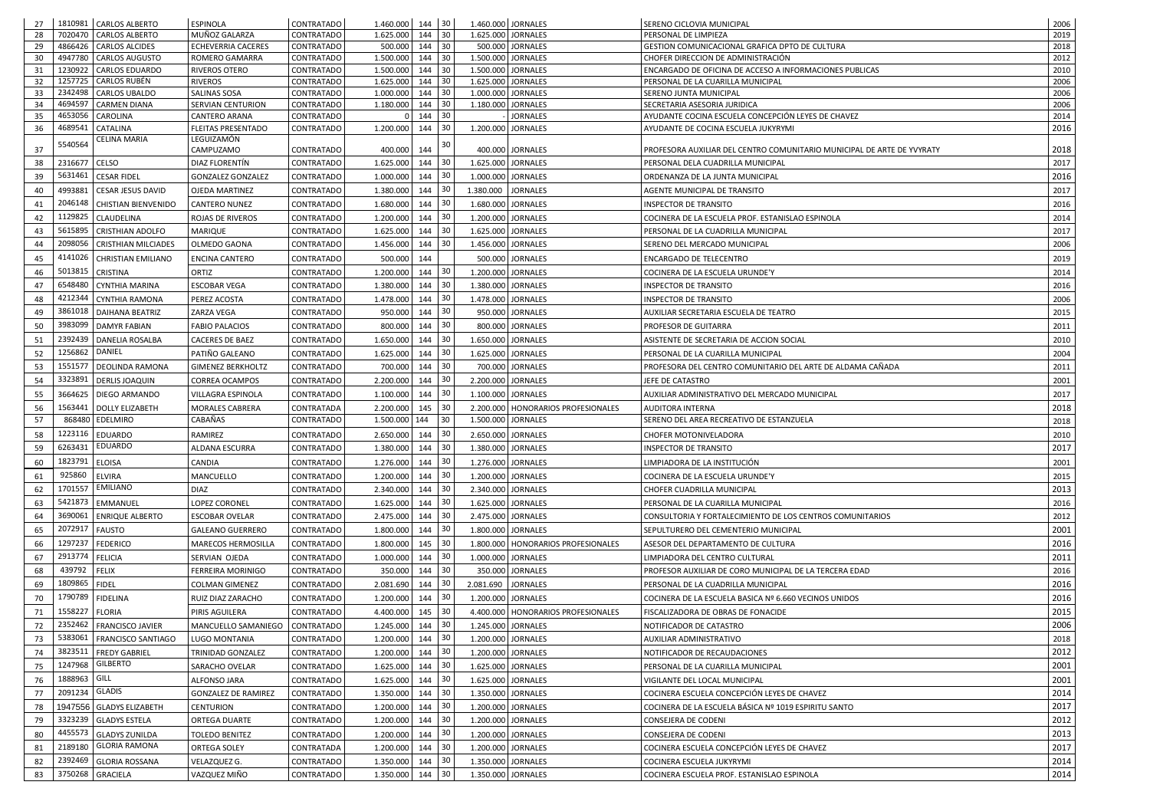| 27       |                    | 1810981 CARLOS ALBERTO                       | <b>ESPINOLA</b>                                   | CONTRATADO                             |                        | $1.460.000$ 144 30       |                    | 1.460.000 JORNALES                                         | SERENO CICLOVIA MUNICIPAL                                                          | 2006         |
|----------|--------------------|----------------------------------------------|---------------------------------------------------|----------------------------------------|------------------------|--------------------------|--------------------|------------------------------------------------------------|------------------------------------------------------------------------------------|--------------|
| 28       | 7020470            | <b>CARLOS ALBERTO</b>                        | MUÑOZ GALARZA                                     | <b>CONTRATADO</b>                      | 1.625.000              | 30 <sup>°</sup><br>144   |                    | 1.625.000 JORNALES                                         | PERSONAL DE LIMPIEZA                                                               | 2019         |
| 29       |                    | 4866426 CARLOS ALCIDES                       | <b>ECHEVERRIA CACERES</b>                         | <b>CONTRATADO</b>                      | 500.000                | $144$ 30                 |                    | 500.000 JORNALES                                           | GESTION COMUNICACIONAL GRAFICA DPTO DE CULTURA                                     | 2018         |
| 30       | 4947780            | <b>CARLOS AUGUSTO</b>                        | ROMERO GAMARRA                                    | <b>CONTRATADO</b>                      | 1.500.000              | $144 \mid 30$            |                    | 1.500.000 JORNALES                                         | CHOFER DIRECCION DE ADMINISTRACIÓN                                                 | 2012         |
| 31       | 1230922            | <b>CARLOS EDUARDO</b>                        | <b>RIVEROS OTERO</b>                              | CONTRATADO                             | 1.500.000              | 30<br>144                |                    | 1.500.000 JORNALES                                         | ENCARGADO DE OFICINA DE ACCESO A INFORMACIONES PUBLICAS                            | 2010         |
| 32       | 1257725            | CARLOS RUBÉN                                 | RIVEROS                                           | <b>CONTRATADO</b>                      | 1.625.000              | 144<br>30                |                    | 1.625.000 JORNALES                                         | PERSONAL DE LA CUARILLA MUNICIPAL                                                  | 2006         |
| 33       | 2342498            | <b>CARLOS UBALDO</b>                         | SALINAS SOSA                                      | <b>CONTRATADO</b>                      | 1.000.000              | 30<br>144                |                    | 1.000.000 JORNALES                                         | SERENO JUNTA MUNICIPAL                                                             | 2006         |
| 34<br>35 | 4694597<br>4653056 | <b>CARMEN DIANA</b><br><b>CAROLINA</b>       | SERVIAN CENTURION<br>CANTERO ARANA                | <b>CONTRATADO</b><br><b>CONTRATADO</b> | 1.180.000              | 30<br>144<br>144 30      |                    | 1.180.000 JORNALES<br><b>JORNALES</b>                      | SECRETARIA ASESORIA JURIDICA<br>AYUDANTE COCINA ESCUELA CONCEPCIÓN LEYES DE CHAVEZ | 2006<br>2014 |
| 36       | 4689541            | <b>CATALINA</b>                              | <b>FLEITAS PRESENTADO</b>                         | <b>CONTRATADO</b>                      | 1.200.000              | 144 30                   |                    | 1.200.000 JORNALES                                         | AYUDANTE DE COCINA ESCUELA JUKYRYMI                                                | 2016         |
|          |                    | <b>CELINA MARIA</b>                          | LEGUIZAMÓN                                        |                                        |                        |                          |                    |                                                            |                                                                                    |              |
| 37       | 5540564            |                                              | CAMPUZAMO                                         | <b>CONTRATADO</b>                      | 400.000                | 30<br>144                |                    | 400.000 JORNALES                                           | PROFESORA AUXILIAR DEL CENTRO COMUNITARIO MUNICIPAL DE ARTE DE YVYRATY             | 2018         |
| 38       | 2316677 CELSO      |                                              | DIAZ FLORENTÍN                                    | <b>CONTRATADO</b>                      | 1.625.000              | 30<br>144                |                    | 1.625.000 JORNALES                                         | PERSONAL DELA CUADRILLA MUNICIPAL                                                  | 2017         |
| 39       |                    | 5631461 CESAR FIDEL                          | <b>GONZALEZ GONZALEZ</b>                          | <b>CONTRATADO</b>                      | 1.000.000              | 30<br>144                |                    | 1.000.000 JORNALES                                         | ORDENANZA DE LA JUNTA MUNICIPAL                                                    | 2016         |
| 40       |                    | 4993881 CESAR JESUS DAVID                    | <b>OJEDA MARTINEZ</b>                             | <b>CONTRATADO</b>                      | 1.380.000              | 30<br>144                | 1.380.000 JORNALES |                                                            | AGENTE MUNICIPAL DE TRANSITO                                                       | 2017         |
|          |                    | 2046148   CHISTIAN BIENVENIDO                | <b>CANTERO NUNEZ</b>                              |                                        | 1.680.000              | 30<br>144                |                    | 1.680.000 JORNALES                                         | <b>INSPECTOR DE TRANSITO</b>                                                       | 2016         |
| 41       | 1129825            |                                              |                                                   | <b>CONTRATADO</b>                      |                        |                          |                    |                                                            |                                                                                    |              |
| 42       |                    | <b>CLAUDELINA</b>                            | ROJAS DE RIVEROS                                  | <b>CONTRATADO</b>                      | 1.200.000              | 30<br>144                |                    | 1.200.000 JORNALES                                         | COCINERA DE LA ESCUELA PROF. ESTANISLAO ESPINOLA                                   | 2014         |
| 43       |                    | 5615895 CRISTHIAN ADOLFO                     | <b>MARIQUE</b>                                    | <b>CONTRATADO</b>                      | 1.625.000              | 30<br>144                |                    | 1.625.000 JORNALES                                         | PERSONAL DE LA CUADRILLA MUNICIPAL                                                 | 2017         |
| 44       |                    | 2098056   CRISTHIAN MILCIADES                | OLMEDO GAONA                                      | <b>CONTRATADO</b>                      | 1.456.000              | 30<br>144                |                    | 1.456.000 JORNALES                                         | SERENO DEL MERCADO MUNICIPAL                                                       | 2006         |
| 45       | 4141026            | <b>CHRISTIAN EMILIANO</b>                    | <b>ENCINA CANTERO</b>                             | <b>CONTRATADO</b>                      | 500.000                | 144                      |                    | 500.000 JORNALES                                           | ENCARGADO DE TELECENTRO                                                            | 2019         |
| 46       |                    | 5013815 CRISTINA                             | ORTIZ                                             | <b>CONTRATADO</b>                      | 1.200.000              | 30<br>144                |                    | 1.200.000 JORNALES                                         | COCINERA DE LA ESCUELA URUNDE'Y                                                    | 2014         |
| 47       | 6548480            | CYNTHIA MARINA                               | <b>ESCOBAR VEGA</b>                               | <b>CONTRATADO</b>                      | 1.380.000              | 30<br>144                |                    | 1.380.000 JORNALES                                         | <b>INSPECTOR DE TRANSITO</b>                                                       | 2016         |
| 48       | 4212344            | CYNTHIA RAMONA                               | PEREZ ACOSTA                                      | <b>CONTRATADO</b>                      | 1.478.000              | 30<br>144                |                    | 1.478.000 JORNALES                                         | <b>INSPECTOR DE TRANSITO</b>                                                       | 2006         |
| 49       | 3861018            | DAIHANA BEATRIZ                              | ZARZA VEGA                                        | <b>CONTRATADO</b>                      | 950.000                | 30 <sup>°</sup><br>144   |                    | 950.000 JORNALES                                           | AUXILIAR SECRETARIA ESCUELA DE TEATRO                                              | 2015         |
| 50       | 3983099            | <b>DAMYR FABIAN</b>                          | <b>FABIO PALACIOS</b>                             | <b>CONTRATADO</b>                      | 800.000                | 30<br>144                |                    | 800.000 JORNALES                                           | PROFESOR DE GUITARRA                                                               | 2011         |
| 51       | 2392439            | <b>DANELIA ROSALBA</b>                       | <b>CACERES DE BAEZ</b>                            | <b>CONTRATADO</b>                      | 1.650.000              | 30<br>144                |                    | 1.650.000   JORNALES                                       | ASISTENTE DE SECRETARIA DE ACCION SOCIAL                                           | 2010         |
| 52       | 1256862            | DANIEL                                       | PATIÑO GALEANO                                    | <b>CONTRATADO</b>                      | 1.625.000              | 30<br>144                |                    | 1.625.000 JORNALES                                         | PERSONAL DE LA CUARILLA MUNICIPAL                                                  | 2004         |
| 53       | 155157             | <b>DEOLINDA RAMONA</b>                       | <b>GIMENEZ BERKHOLTZ</b>                          | <b>CONTRATADO</b>                      | 700.000                | $144$ 30                 |                    | 700.000 JORNALES                                           | PROFESORA DEL CENTRO COMUNITARIO DEL ARTE DE ALDAMA CAÑADA                         | 2011         |
|          | 3323891            | <b>DERLIS JOAQUIN</b>                        |                                                   |                                        |                        | 30                       |                    |                                                            |                                                                                    |              |
| 54<br>55 |                    | 3664625   DIEGO ARMANDO                      | <b>CORREA OCAMPOS</b><br><b>VILLAGRA ESPINOLA</b> | <b>CONTRATADO</b><br><b>CONTRATADO</b> | 2.200.000<br>1.100.000 | 144<br>$144$ 30          |                    | 2.200.000 JORNALES<br>1.100.000 JORNALES                   | JEFE DE CATASTRO<br>AUXILIAR ADMINISTRATIVO DEL MERCADO MUNICIPAL                  | 2001<br>2017 |
|          |                    |                                              |                                                   |                                        |                        |                          |                    |                                                            |                                                                                    |              |
| 56<br>57 |                    | 1563441   DOLLY ELIZABETH<br>868480 EDELMIRO | <b>MORALES CABRERA</b><br>CABAÑAS                 | <b>CONTRATADA</b><br>CONTRATADO        | 1.500.000 144          | $2.200.000$ 145 30<br>30 |                    | 2.200.000   HONORARIOS PROFESIONALES<br>1.500.000 JORNALES | <b>AUDITORA INTERNA</b><br>SERENO DEL AREA RECREATIVO DE ESTANZUELA                | 2018         |
|          |                    |                                              |                                                   |                                        |                        |                          |                    |                                                            |                                                                                    | 2018         |
| 58       |                    | 1223116 EDUARDO                              | RAMIREZ                                           | <b>CONTRATADO</b>                      | 2.650.000              | 30<br>144                |                    | 2.650.000 JORNALES                                         | <b>CHOFER MOTONIVELADORA</b>                                                       | 2010         |
| 59       |                    | 6263431 EDUARDO                              | ALDANA ESCURRA                                    | <b>CONTRATADO</b>                      | 1.380.000              | 30<br>144                |                    | 1.380.000 JORNALES                                         | <b>INSPECTOR DE TRANSITO</b>                                                       | 2017         |
| 60       | 1823791 ELOISA     |                                              | <b>CANDIA</b>                                     | <b>CONTRATADO</b>                      | 1.276.000              | 30<br>144                |                    | 1.276.000 JORNALES                                         | LIMPIADORA DE LA INSTITUCIÓN                                                       | 2001         |
| 61       | 925860             | ELVIRA                                       | MANCUELLO                                         | <b>CONTRATADO</b>                      | 1.200.000              | 30<br>144                |                    | 1.200.000 JORNALES                                         | COCINERA DE LA ESCUELA URUNDE'Y                                                    | 2015         |
| 62       | 1701557            | <b>EMILIANO</b>                              | <b>DIAZ</b>                                       | <b>CONTRATADO</b>                      | 2.340.000              | 30<br>144                |                    | 2.340.000 JORNALES                                         | CHOFER CUADRILLA MUNICIPAL                                                         | 2013         |
| 63       |                    | 5421873 EMMANUEL                             | LOPEZ CORONEL                                     | <b>CONTRATADO</b>                      | 1.625.000              | 30<br>144                |                    | 1.625.000 JORNALES                                         | PERSONAL DE LA CUARILLA MUNICIPAL                                                  | 2016         |
| 64       | 3690061            | <b>ENRIQUE ALBERTO</b>                       | <b>ESCOBAR OVELAR</b>                             | <b>CONTRATADO</b>                      | 2.475.000              | 30<br>144                |                    | 2.475.000 JORNALES                                         | CONSULTORIA Y FORTALECIMIENTO DE LOS CENTROS COMUNITARIOS                          | 2012         |
| 65       |                    | 2072917   FAUSTO                             | <b>GALEANO GUERRERO</b>                           | <b>CONTRATADO</b>                      | 1.800.000              | 30<br>144                |                    | 1.800.000 JORNALES                                         | SEPULTURERO DEL CEMENTERIO MUNICIPAL                                               | 2001         |
| 66       | 1297237            | FEDERICO                                     | MARECOS HERMOSILLA                                | <b>CONTRATADO</b>                      | 1.800.000              | 30<br>145                |                    | 1.800.000   HONORARIOS PROFESIONALES                       | ASESOR DEL DEPARTAMENTO DE CULTURA                                                 | 2016         |
| 67       | 2913774   FELICIA  |                                              | SERVIAN OJEDA                                     | <b>CONTRATADO</b>                      | 1.000.000              | 30<br>144                |                    | 1.000.000 JORNALES                                         | LIMPIADORA DEL CENTRO CULTURAL                                                     | 2011         |
| 68       | 439792             | FELIX                                        | <b>FERREIRA MORINIGO</b>                          | <b>CONTRATADO</b>                      | 350.000                | $144$ 30                 |                    | 350.000 JORNALES                                           | PROFESOR AUXILIAR DE CORO MUNICIPAL DE LA TERCERA EDAD                             | 2016         |
| 69       | 1809865   FIDEL    |                                              | <b>COLMAN GIMENEZ</b>                             | <b>CONTRATADO</b>                      | 2.081.690              | 30<br>144                |                    | 2.081.690 JORNALES                                         | PERSONAL DE LA CUADRILLA MUNICIPAL                                                 | 2016         |
|          |                    | 1790789   FIDELINA                           |                                                   |                                        |                        | 30                       |                    |                                                            |                                                                                    | 2016         |
| 70       |                    |                                              | RUIZ DIAZ ZARACHO                                 | <b>CONTRATADO</b>                      | 1.200.000              | 144                      |                    | 1.200.000 JORNALES                                         | COCINERA DE LA ESCUELA BASICA Nº 6.660 VECINOS UNIDOS                              |              |
| 71       | 1558227   FLORIA   |                                              | PIRIS AGUILERA                                    | <b>CONTRATADO</b>                      | 4.400.000              | 30<br>145                |                    | 4.400.000   HONORARIOS PROFESIONALES                       | FISCALIZADORA DE OBRAS DE FONACIDE                                                 | 2015         |
| 72       |                    | 2352462   FRANCISCO JAVIER                   | MANCUELLO SAMANIEGO                               | <b>CONTRATADO</b>                      | 1.245.000              | 30<br>144                |                    | 1.245.000 JORNALES                                         | NOTIFICADOR DE CATASTRO                                                            | 2006         |
| 73       |                    | 5383061   FRANCISCO SANTIAGO                 | LUGO MONTANIA                                     | <b>CONTRATADO</b>                      | 1.200.000              | 30<br>144                |                    | 1.200.000 JORNALES                                         | AUXILIAR ADMINISTRATIVO                                                            | 2018         |
| 74       |                    | 3823511   FREDY GABRIEL                      | TRINIDAD GONZALEZ                                 | <b>CONTRATADO</b>                      | 1.200.000              | 30<br>144                |                    | 1.200.000 JORNALES                                         | NOTIFICADOR DE RECAUDACIONES                                                       | 2012         |
| 75       |                    | 1247968 GILBERTO                             | SARACHO OVELAR                                    | <b>CONTRATADO</b>                      | 1.625.000              | 30<br>144                |                    | 1.625.000 JORNALES                                         | PERSONAL DE LA CUARILLA MUNICIPAL                                                  | 2001         |
| 76       | 1888963 GILL       |                                              | <b>ALFONSO JARA</b>                               | <b>CONTRATADO</b>                      | 1.625.000              | 30<br>144                |                    | 1.625.000 JORNALES                                         | VIGILANTE DEL LOCAL MUNICIPAL                                                      | 2001         |
| 77       | 2091234 GLADIS     |                                              | <b>GONZALEZ DE RAMIREZ</b>                        | <b>CONTRATADO</b>                      | 1.350.000              | 30<br>144                |                    | 1.350.000 JORNALES                                         | COCINERA ESCUELA CONCEPCIÓN LEYES DE CHAVEZ                                        | 2014         |
| 78       |                    | 1947556   GLADYS ELIZABETH                   | <b>CENTURION</b>                                  | <b>CONTRATADO</b>                      | 1.200.000              | 30<br>144                |                    | 1.200.000 JORNALES                                         | COCINERA DE LA ESCUELA BÁSICA Nº 1019 ESPIRITU SANTO                               | 2017         |
| 79       | 3323239            | <b>GLADYS ESTELA</b>                         | ORTEGA DUARTE                                     | <b>CONTRATADO</b>                      | 1.200.000              | 30<br>144                |                    | 1.200.000 JORNALES                                         | CONSEJERA DE CODENI                                                                | 2012         |
| 80       | 4455573            | <b>GLADYS ZUNILDA</b>                        | <b>TOLEDO BENITEZ</b>                             | <b>CONTRATADO</b>                      | 1.200.000              | 30<br>144                |                    | 1.200.000 JORNALES                                         | CONSEJERA DE CODENI                                                                | 2013         |
| 81       |                    | 2189180   GLORIA RAMONA                      | ORTEGA SOLEY                                      | <b>CONTRATADA</b>                      | 1.200.000              | 30<br>144                |                    | 1.200.000 JORNALES                                         | COCINERA ESCUELA CONCEPCIÓN LEYES DE CHAVEZ                                        | 2017         |
| 82       |                    | 2392469 GLORIA ROSSANA                       | VELAZQUEZ G.                                      | <b>CONTRATADO</b>                      | 1.350.000              | 30<br>144                |                    | 1.350.000 JORNALES                                         | COCINERA ESCUELA JUKYRYMI                                                          | 2014         |
| 83       |                    | 3750268 GRACIELA                             | VAZQUEZ MIÑO                                      | <b>CONTRATADO</b>                      | 1.350.000              | 30<br>144                |                    | 1.350.000 JORNALES                                         | COCINERA ESCUELA PROF. ESTANISLAO ESPINOLA                                         | 2014         |
|          |                    |                                              |                                                   |                                        |                        |                          |                    |                                                            |                                                                                    |              |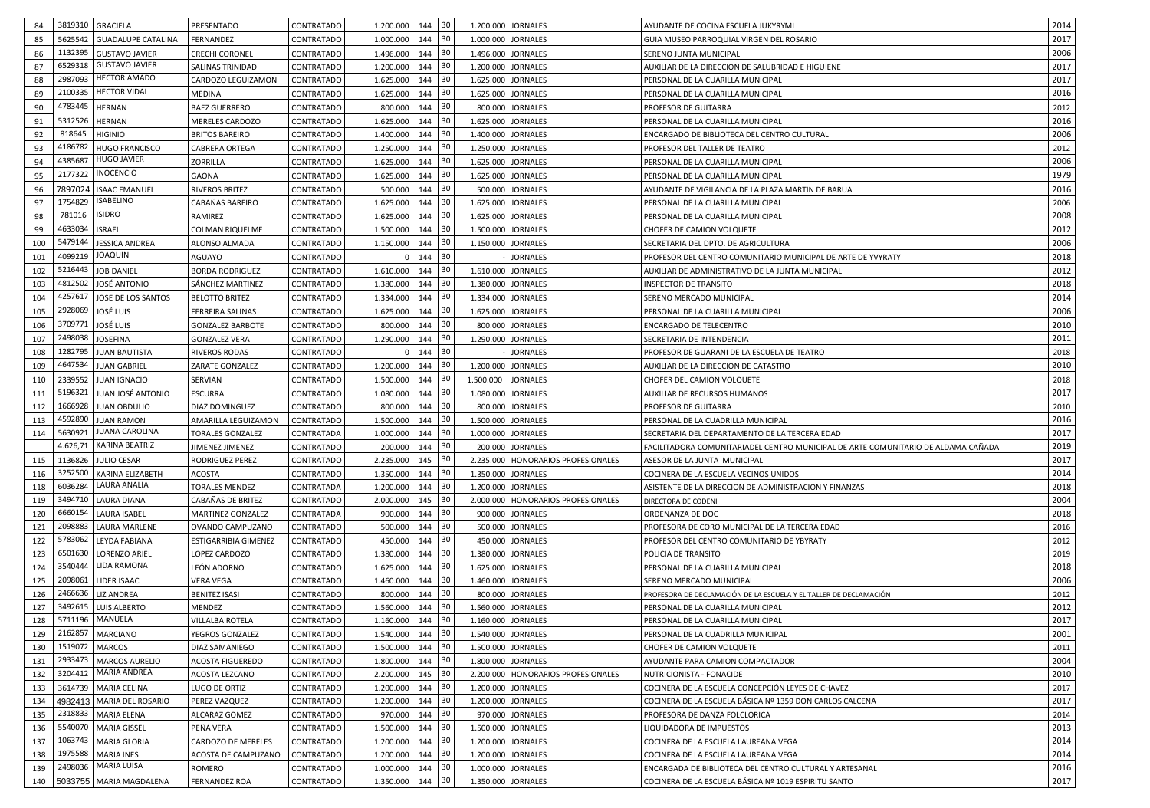| 84         |                    | 3819310 GRACIELA                      | PRESENTADO                     | CONTRATADO               | 1.200.000              | 144 30     |     | 1.200.000 JORNALES |                                      | AYUDANTE DE COCINA ESCUELA JUKYRYMI                                               | 2014         |
|------------|--------------------|---------------------------------------|--------------------------------|--------------------------|------------------------|------------|-----|--------------------|--------------------------------------|-----------------------------------------------------------------------------------|--------------|
| 85         |                    | 5625542   GUADALUPE CATALINA          | FERNANDEZ                      | CONTRATADO               | 1.000.000              | $144$ 30   |     | 1.000.000 JORNALES |                                      | GUIA MUSEO PARROQUIAL VIRGEN DEL ROSARIO                                          | 2017         |
| 86         | 1132395            | <b>GUSTAVO JAVIER</b>                 | <b>CRECHI CORONEL</b>          | CONTRATADO               | 1.496.000              | 144        | -30 | 1.496.000 JORNALES |                                      | SERENO JUNTA MUNICIPAL                                                            | 2006         |
| 87         | 6529318            | <b>GUSTAVO JAVIER</b>                 | SALINAS TRINIDAD               | CONTRATADO               | 1.200.000              | 144        | 30  | 1.200.000 JORNALES |                                      | AUXILIAR DE LA DIRECCION DE SALUBRIDAD E HIGUIENE                                 | 2017         |
| 88         | 2987093            | <b>HECTOR AMADO</b>                   | CARDOZO LEGUIZAMON             | CONTRATADO               | 1.625.000              | 144        | 30  | 1.625.000 JORNALES |                                      | PERSONAL DE LA CUARILLA MUNICIPAL                                                 | 2017         |
| 89         | 2100335            | <b>HECTOR VIDAL</b>                   | <b>MEDINA</b>                  | CONTRATADO               | 1.625.000              | 144        | 30  | 1.625.000 JORNALES |                                      | PERSONAL DE LA CUARILLA MUNICIPAL                                                 | 2016         |
| 90         | 4783445            | <b>HERNAN</b>                         | <b>BAEZ GUERRERO</b>           | CONTRATADO               | 800.000                | 144        | 30  |                    | 800.000 JORNALES                     | PROFESOR DE GUITARRA                                                              | 2012         |
| 91         | 5312526            | HERNAN                                | <b>MERELES CARDOZO</b>         | CONTRATADO               | 1.625.000              | 144        | 30  | 1.625.000 JORNALES |                                      | PERSONAL DE LA CUARILLA MUNICIPAL                                                 | 2016         |
| 92         | 818645             | <b>HIGINIO</b>                        | <b>BRITOS BAREIRO</b>          | CONTRATADO               | 1.400.000              | 144        | -30 | 1.400.000 JORNALES |                                      | ENCARGADO DE BIBLIOTECA DEL CENTRO CULTURAL                                       | 2006         |
| 93         | 4186782            | <b>HUGO FRANCISCO</b>                 | <b>CABRERA ORTEGA</b>          | CONTRATADO               | 1.250.000              | 144        | 30  | 1.250.000 JORNALES |                                      | PROFESOR DEL TALLER DE TEATRO                                                     | 2012         |
| 94         | 4385687            | <b>HUGO JAVIER</b>                    | ZORRILLA                       | CONTRATADO               | 1.625.000              | 144        | -30 | 1.625.000 JORNALES |                                      | PERSONAL DE LA CUARILLA MUNICIPAL                                                 | 2006         |
| 95         | 2177322            | <b>INOCENCIO</b>                      | <b>GAONA</b>                   | CONTRATADO               | 1.625.000              | 144        | 30  | 1.625.000 JORNALES |                                      | PERSONAL DE LA CUARILLA MUNICIPAL                                                 | 1979         |
| 96         | 7897024            | <b>ISAAC EMANUEL</b>                  | <b>RIVEROS BRITEZ</b>          | CONTRATADO               | 500.000                | $144$ 30   |     |                    | 500.000 JORNALES                     | AYUDANTE DE VIGILANCIA DE LA PLAZA MARTIN DE BARUA                                | 2016         |
| 97         | 1754829            | ISABELINO                             | CABAÑAS BAREIRO                | CONTRATADO               | 1.625.000              | 144        | -30 | 1.625.000 JORNALES |                                      | PERSONAL DE LA CUARILLA MUNICIPAL                                                 | 2006         |
| 98         | 781016             | <b>ISIDRO</b>                         | RAMIREZ                        | CONTRATADO               | 1.625.000              | 144        | 30  | 1.625.000 JORNALES |                                      | PERSONAL DE LA CUARILLA MUNICIPAL                                                 | 2008         |
| 99         | 4633034            | <b>ISRAEL</b>                         | <b>COLMAN RIQUELME</b>         | CONTRATADO               | 1.500.000              | 144        | 30  | 1.500.000 JORNALES |                                      | CHOFER DE CAMION VOLQUETE                                                         | 2012         |
| 100        | 5479144            | <b>JESSICA ANDREA</b>                 | ALONSO ALMADA                  | CONTRATADO               | 1.150.000              | 144        | 30  | 1.150.000 JORNALES |                                      | SECRETARIA DEL DPTO. DE AGRICULTURA                                               | 2006         |
| 101        | 4099219            | JOAQUIN                               | AGUAYO                         | <b>CONTRATADO</b>        |                        | 144        | 30  |                    | <b>JORNALES</b>                      | PROFESOR DEL CENTRO COMUNITARIO MUNICIPAL DE ARTE DE YVYRATY                      | 2018         |
| 102        | 5216443            | <b>JOB DANIEL</b>                     | <b>BORDA RODRIGUEZ</b>         | CONTRATADO               | 1.610.000              | 144        | 30  | 1.610.000 JORNALES |                                      | AUXILIAR DE ADMINISTRATIVO DE LA JUNTA MUNICIPAL                                  | 2012         |
| 103        | 4812502            | <b>JOSÉ ANTONIO</b>                   | SÁNCHEZ MARTINEZ               | CONTRATADO               | 1.380.000              | 144        | 30  | 1.380.000 JORNALES |                                      | <b>INSPECTOR DE TRANSITO</b>                                                      | 2018         |
| 104        | 425761             | JOSE DE LOS SANTOS                    | <b>BELOTTO BRITEZ</b>          | CONTRATADO               | 1.334.000              | 144        | 30  | 1.334.000 JORNALES |                                      | SERENO MERCADO MUNICIPAL                                                          | 2014         |
| 105        | 2928069            | JOSÉ LUIS                             | FERREIRA SALINAS               | <b>CONTRATADO</b>        | 1.625.000              | 144        | 30  | 1.625.000 JORNALES |                                      | PERSONAL DE LA CUARILLA MUNICIPAL                                                 | 2006         |
| 106        | 370977             | JOSÉ LUIS                             | <b>GONZALEZ BARBOTE</b>        | CONTRATADO               | 800.000                | 144        | 30  |                    | 800.000 JORNALES                     | <b>ENCARGADO DE TELECENTRO</b>                                                    | 2010         |
| 107        | 2498038            | <b>JOSEFINA</b>                       | <b>GONZALEZ VERA</b>           | CONTRATADO               | 1.290.000              | 144        | 30  | 1.290.000 JORNALES |                                      | SECRETARIA DE INTENDENCIA                                                         | 2011         |
| 108        | 1282795            | <b>JUAN BAUTISTA</b>                  | <b>RIVEROS RODAS</b>           | CONTRATADO               |                        | 144 30     |     |                    | <b>JORNALES</b>                      | PROFESOR DE GUARANI DE LA ESCUELA DE TEATRO                                       | 2018         |
| 109        | 4647534            | <b>JUAN GABRIEL</b>                   | ZARATE GONZALEZ                | CONTRATADO               | 1.200.000              | 144        | 30  | 1.200.000 JORNALES |                                      | AUXILIAR DE LA DIRECCION DE CATASTRO                                              | 2010         |
| 110        |                    | 2339552 JUAN IGNACIO                  | <b>SERVIAN</b>                 | CONTRATADO               | 1.500.000              | 144        | 30  | 1.500.000 JORNALES |                                      | CHOFER DEL CAMION VOLQUETE                                                        | 2018         |
| 111        |                    | 5196321 JUAN JOSÉ ANTONIO             | <b>ESCURRA</b>                 | <b>CONTRATADO</b>        | 1.080.000              | 144 30     |     | 1.080.000 JORNALES |                                      | AUXILIAR DE RECURSOS HUMANOS                                                      | 2017         |
| 112        | 1666928            | <b>JUAN OBDULIO</b>                   | DIAZ DOMINGUEZ                 | CONTRATADO               | 800.000                | $144$ 30   |     |                    | 800.000 JORNALES                     | PROFESOR DE GUITARRA                                                              | 2010         |
| 113        | 4592890            | <b>JUAN RAMON</b>                     | AMARILLA LEGUIZAMON            | <b>CONTRATADO</b>        | 1.500.000              | 144        | 30  | 1.500.000 JORNALES |                                      | PERSONAL DE LA CUADRILLA MUNICIPAL                                                | 2016         |
| 114        | 5630921            | <b>JUANA CAROLINA</b>                 | <b>TORALES GONZALEZ</b>        | CONTRATADA               | 1.000.000              | 144        | -30 | 1.000.000 JORNALES |                                      | SECRETARIA DEL DEPARTAMENTO DE LA TERCERA EDAD                                    | 2017         |
|            |                    | 4.626,71   KARINA BEATRIZ             | JIMENEZ JIMENEZ                | CONTRATADO               | 200.000                | 144        | 30  |                    | 200.000 JORNALES                     | FACILITADORA COMUNITARIADEL CENTRO MUNICIPAL DE ARTE COMUNITARIO DE ALDAMA CAÑADA | 2019         |
| 115        | 1136826            | JULIO CESAR                           | RODRIGUEZ PEREZ                | CONTRATADO               | 2.235.000              | 145        | 30  |                    | 2.235.000   HONORARIOS PROFESIONALES | ASESOR DE LA JUNTA MUNICIPAL                                                      | 2017         |
| 116        | 3252500            | KARINA ELIZABETH                      | <b>ACOSTA</b>                  | CONTRATADO               | 1.350.000              | 144        | 30  | 1.350.000 JORNALES |                                      | COCINERA DE LA ESCUELA VECINOS UNIDOS                                             | 2014         |
| 118        | 6036284            | LAURA ANALIA                          | <b>TORALES MENDEZ</b>          | CONTRATADA               | 1.200.000              | 144        | -30 | 1.200.000 JORNALES |                                      | ASISTENTE DE LA DIRECCION DE ADMINISTRACION Y FINANZAS                            | 2018         |
| 119        | 3494710            | <b>LAURA DIANA</b>                    | CABAÑAS DE BRITEZ              | CONTRATADO               | 2.000.000              | 145        | 30  |                    | 2.000.000   HONORARIOS PROFESIONALES | DIRECTORA DE CODENI                                                               | 2004         |
| 120        | 6660154            | <b>LAURA ISABEL</b>                   | MARTINEZ GONZALEZ              | CONTRATADA               | 900.000                | 144        | 30  |                    | 900.000 JORNALES                     | ORDENANZA DE DOC                                                                  | 2018         |
| 121        | 2098883            | LAURA MARLENE                         | OVANDO CAMPUZANO               | CONTRATADO               | 500.000                | 144        | 30  |                    | 500.000 JORNALES                     | PROFESORA DE CORO MUNICIPAL DE LA TERCERA EDAD                                    | 2016         |
| 122        | 5783062            | LEYDA FABIANA                         | ESTIGARRIBIA GIMENEZ           | CONTRATADO               | 450.000                | 144        | 30  |                    | 450.000 JORNALES                     | PROFESOR DEL CENTRO COMUNITARIO DE YBYRATY                                        | 2012         |
| 123        | 6501630            | LORENZO ARIEL                         | LOPEZ CARDOZO                  | CONTRATADO               | 1.380.000              | 144        | 30  | 1.380.000 JORNALES |                                      | POLICIA DE TRANSITO                                                               | 2019         |
| 124        | 3540444            | LIDA RAMONA                           | LEÓN ADORNO                    | <b>CONTRATADO</b>        | 1.625.000              | 144        | 30  | 1.625.000 JORNALES |                                      | PERSONAL DE LA CUARILLA MUNICIPAL                                                 | 2018         |
| 125        | 2098061            | LIDER ISAAC                           | VERA VEGA                      | CONTRATADO               | 1.460.000              | 144        | -30 | 1.460.000 JORNALES |                                      | SERENO MERCADO MUNICIPAL                                                          | 2006         |
| 126        | 2466636            | LIZ ANDREA                            | <b>BENITEZ ISASI</b>           | CONTRATADO               | 800.000                | 144        | 30  |                    | 800.000 JORNALES                     | PROFESORA DE DECLAMACIÓN DE LA ESCUELA Y EL TALLER DE DECLAMACIÓN                 | 2012         |
| 127        | 3492615            | LUIS ALBERTO<br>MANUELA               | <b>MENDEZ</b>                  | CONTRATADO               | 1.560.000              | 144        | 30  | 1.560.000 JORNALES |                                      | PERSONAL DE LA CUARILLA MUNICIPAL                                                 | 2012         |
| 128        | 5711196            |                                       | VILLALBA ROTELA                | CONTRATADO               | 1.160.000              | 144        | 30  | 1.160.000 JORNALES |                                      | PERSONAL DE LA CUARILLA MUNICIPAL                                                 | 2017         |
| 129        | 2162857            | <b>MARCIANO</b>                       | YEGROS GONZALEZ                | CONTRATADO               | 1.540.000              | 144        | 30  | 1.540.000 JORNALES |                                      | PERSONAL DE LA CUADRILLA MUNICIPAL                                                | 2001         |
| 130        | 1519072            | <b>MARCOS</b>                         | DIAZ SAMANIEGO                 | CONTRATADO               | 1.500.000              | 144        | 30  | 1.500.000 JORNALES |                                      | CHOFER DE CAMION VOLQUETE                                                         | 2011         |
| 131        | 2933473<br>3204412 | <b>MARCOS AURELIO</b><br>MARIA ANDREA | <b>ACOSTA FIGUEREDO</b>        | CONTRATADO               | 1.800.000              | 144        | 30  | 1.800.000 JORNALES |                                      | AYUDANTE PARA CAMION COMPACTADOR                                                  | 2004         |
| 132<br>133 |                    | 3614739   MARIA CELINA                | ACOSTA LEZCANO                 | CONTRATADO<br>CONTRATADO | 2.200.000<br>1.200.000 | 145<br>144 | -30 | 1.200.000 JORNALES | 2.200.000   HONORARIOS PROFESIONALES | NUTRICIONISTA - FONACIDE<br>COCINERA DE LA ESCUELA CONCEPCIÓN LEYES DE CHAVEZ     | 2010<br>2017 |
| 134        |                    | 4982413   MARIA DEL ROSARIO           | LUGO DE ORTIZ<br>PEREZ VAZQUEZ | CONTRATADO               | 1.200.000              | 144        | 30  | 1.200.000 JORNALES |                                      | COCINERA DE LA ESCUELA BÁSICA Nº 1359 DON CARLOS CALCENA                          | 2017         |
| 135        | 2318833            | <b>MARIA ELENA</b>                    | ALCARAZ GOMEZ                  | CONTRATADO               | 970.000                | 144        | 30  |                    | 970.000 JORNALES                     | PROFESORA DE DANZA FOLCLORICA                                                     | 2014         |
| 136        | 5540070            | MARIA GISSEL                          | PEÑA VERA                      | CONTRATADO               | 1.500.000              | 144        | 30  | 1.500.000 JORNALES |                                      | LIQUIDADORA DE IMPUESTOS                                                          | 2013         |
| 137        | 1063743            | <b>MARIA GLORIA</b>                   | <b>CARDOZO DE MERELES</b>      | CONTRATADO               | 1.200.000              | 144        |     | 1.200.000 JORNALES |                                      | COCINERA DE LA ESCUELA LAUREANA VEGA                                              | 2014         |
| 138        | 1975588            | <b>MARIA INES</b>                     | ACOSTA DE CAMPUZANO            | <b>CONTRATADO</b>        | 1.200.000              | 144        | 30  | 1.200.000 JORNALES |                                      | COCINERA DE LA ESCUELA LAUREANA VEGA                                              | 2014         |
| 139        | 2498036            | <b>MARIA LUISA</b>                    | ROMERO                         | CONTRATADO               | 1.000.000              | 144        | 30  | 1.000.000 JORNALES |                                      | ENCARGADA DE BIBLIOTECA DEL CENTRO CULTURAL Y ARTESANAL                           | 2016         |
| 140        |                    | 5033755   MARIA MAGDALENA             | <b>FERNANDEZ ROA</b>           | CONTRATADO               | 1.350.000              | 144        | 30  | 1.350.000 JORNALES |                                      | COCINERA DE LA ESCUELA BÁSICA Nº 1019 ESPIRITU SANTO                              | 2017         |
|            |                    |                                       |                                |                          |                        |            |     |                    |                                      |                                                                                   |              |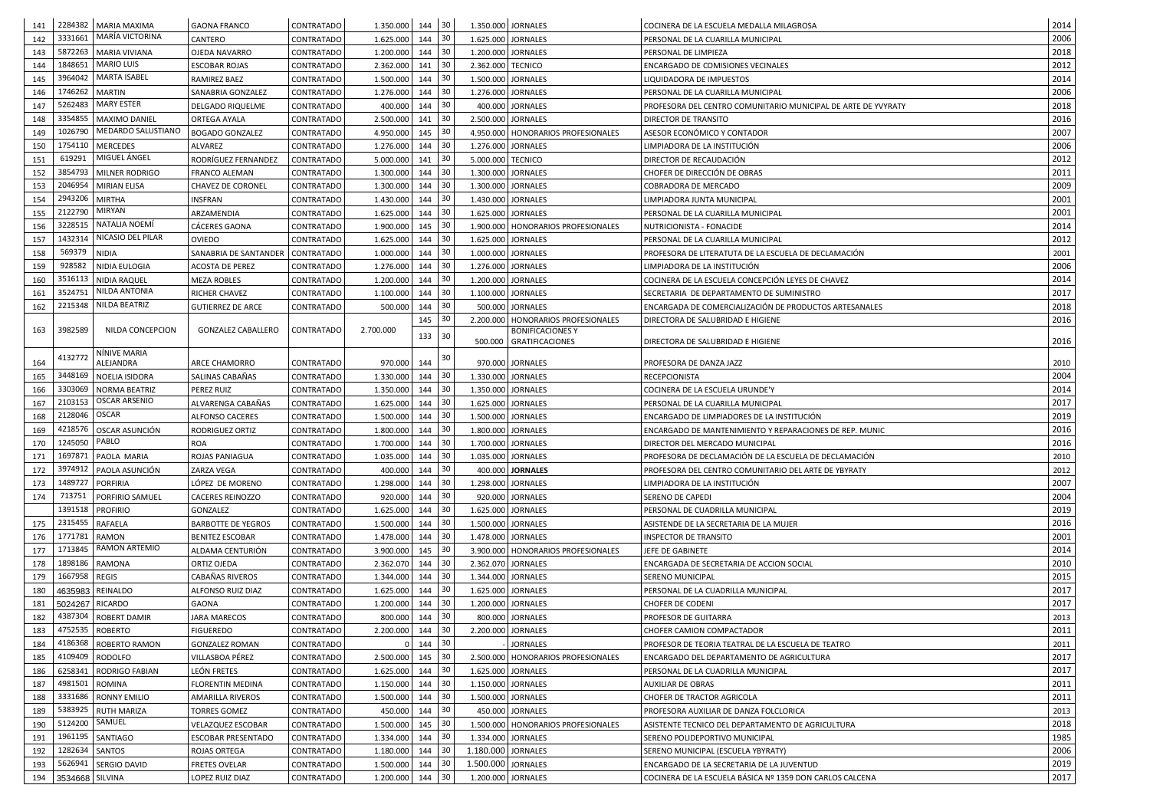| 141 |                  | 2284382   MARIA MAXIMA<br>MARÍA VICTORINA       | <b>GAONA FRANCO</b>                | <b>CONTRATADO</b> | 1.350.000          | $144$ 30      |    |                    | 1.350.000 JORNALES                   | COCINERA DE LA ESCUELA MEDALLA MILAGROSA                      | 2014 |
|-----|------------------|-------------------------------------------------|------------------------------------|-------------------|--------------------|---------------|----|--------------------|--------------------------------------|---------------------------------------------------------------|------|
| 142 | 3331661          |                                                 | CANTERO                            | <b>CONTRATADO</b> | 1.625.000          | 144           | 30 | 1.625.000 JORNALES |                                      | PERSONAL DE LA CUARILLA MUNICIPAL                             | 2006 |
| 143 |                  | 5872263   MARIA VIVIANA<br>1848651   MARIO LUIS | OJEDA NAVARRO                      | <b>CONTRATADO</b> | 1.200.000          | 144           | 30 |                    | 1.200.000 JORNALES                   | PERSONAL DE LIMPIEZA                                          | 2018 |
| 144 |                  | 3964042   MARTA ISABEL                          | <b>ESCOBAR ROJAS</b>               | <b>CONTRATADO</b> | 2.362.000          | 141           | 30 | 2.362.000 TECNICO  |                                      | ENCARGADO DE COMISIONES VECINALES                             | 2012 |
| 145 |                  |                                                 | <b>RAMIREZ BAEZ</b>                | <b>CONTRATADO</b> | 1.500.000          | 144           | 30 |                    | 1.500.000 JORNALES                   | LIQUIDADORA DE IMPUESTOS                                      | 2014 |
| 146 | 1746262   MARTIN |                                                 | SANABRIA GONZALEZ                  | <b>CONTRATADO</b> | 1.276.000          | 144           | 30 |                    | 1.276.000 JORNALES                   | PERSONAL DE LA CUARILLA MUNICIPAL                             | 2006 |
| 147 |                  | 5262483   MARY ESTER                            | DELGADO RIQUELME                   | <b>CONTRATADO</b> | 400.000            | 144 30        |    |                    | 400.000 JORNALES                     | PROFESORA DEL CENTRO COMUNITARIO MUNICIPAL DE ARTE DE YVYRATY | 2018 |
| 148 |                  | 3354855   MAXIMO DANIEL                         | ORTEGA AYALA                       | <b>CONTRATADO</b> | 2.500.000          | 141           | 30 |                    | 2.500.000 JORNALES                   | DIRECTOR DE TRANSITO                                          | 2016 |
| 149 | 1026790          | MEDARDO SALUSTIANO                              | <b>BOGADO GONZALEZ</b>             | <b>CONTRATADO</b> | 4.950.000          | 145           | 30 |                    | 4.950.000   HONORARIOS PROFESIONALES | ASESOR ECONÓMICO Y CONTADOR                                   | 2007 |
| 150 |                  | 1754110   MERCEDES                              | <b>ALVAREZ</b>                     | <b>CONTRATADO</b> | 1.276.000          | 144           | 30 |                    | 1.276.000 JORNALES                   | LIMPIADORA DE LA INSTITUCIÓN                                  | 2006 |
| 151 | 619291           | MIGUEL ÁNGEL                                    | RODRÍGUEZ FERNANDEZ                | <b>CONTRATADO</b> | 5.000.000          | 141           | 30 | 5.000.000 TECNICO  |                                      | DIRECTOR DE RECAUDACIÓN                                       | 2012 |
| 152 |                  | 3854793   MILNER RODRIGO                        | <b>FRANCO ALEMAN</b>               | <b>CONTRATADO</b> | 1.300.000          | 144           | 30 |                    | 1.300.000 JORNALES                   | CHOFER DE DIRECCIÓN DE OBRAS                                  | 2011 |
| 153 |                  | 2046954 MIRIAN ELISA                            | <b>CHAVEZ DE CORONEL</b>           | <b>CONTRATADO</b> | 1.300.000          | 144           | 30 | 1.300.000 JORNALES |                                      | <b>COBRADORA DE MERCADO</b>                                   | 2009 |
| 154 | 2943206 MIRTHA   |                                                 | <b>INSFRAN</b>                     | <b>CONTRATADO</b> | 1.430.000          | 144           | 30 |                    | 1.430.000 JORNALES                   | LIMPIADORA JUNTA MUNICIPAL                                    | 2001 |
| 155 | 2122790 MIRYAN   |                                                 | ARZAMENDIA                         | <b>CONTRATADO</b> | 1.625.000          | 144           | 30 |                    | 1.625.000 JORNALES                   | PERSONAL DE LA CUARILLA MUNICIPAL                             | 2001 |
| 156 |                  | 3228515   NATALIA NOEMI                         | <b>CÁCERES GAONA</b>               | <b>CONTRATADO</b> | 1.900.000          | 145           | 30 |                    | 1.900.000   HONORARIOS PROFESIONALES | NUTRICIONISTA - FONACIDE                                      | 2014 |
| 157 |                  | 1432314   NICASIO DEL PILAR                     | <b>OVIEDO</b>                      | <b>CONTRATADO</b> | 1.625.000          | 144           | 30 |                    | 1.625.000 JORNALES                   | PERSONAL DE LA CUARILLA MUNICIPAL                             | 2012 |
| 158 | 569379 NIDIA     |                                                 | SANABRIA DE SANTANDER   CONTRATADO |                   | 1.000.000          | 144           | 30 |                    | 1.000.000 JORNALES                   | PROFESORA DE LITERATUTA DE LA ESCUELA DE DECLAMACIÓN          | 2001 |
| 159 | 928582           | NIDIA EULOGIA                                   | <b>ACOSTA DE PEREZ</b>             | <b>CONTRATADO</b> | 1.276.000          | 144           | 30 |                    | 1.276.000 JORNALES                   | LIMPIADORA DE LA INSTITUCIÓN                                  | 2006 |
| 160 |                  | 3516113   NIDIA RAQUEL                          | <b>MEZA ROBLES</b>                 | <b>CONTRATADO</b> | 1.200.000          | 144           | 30 |                    | 1.200.000 JORNALES                   | COCINERA DE LA ESCUELA CONCEPCIÓN LEYES DE CHAVEZ             | 2014 |
| 161 |                  | 3524751   NILDA ANTONIA                         | <b>RICHER CHAVEZ</b>               | <b>CONTRATADO</b> | 1.100.000          | 144           | 30 |                    | 1.100.000 JORNALES                   | SECRETARIA DE DEPARTAMENTO DE SUMINISTRO                      | 2017 |
| 162 |                  | 2215348 NILDA BEATRIZ                           | <b>GUTIERREZ DE ARCE</b>           | <b>CONTRATADO</b> | 500.000            | 144           | 30 |                    | 500.000 JORNALES                     | ENCARGADA DE COMERCIALIZACIÓN DE PRODUCTOS ARTESANALES        | 2018 |
|     |                  |                                                 |                                    |                   |                    | 145           | 30 |                    | 2.200.000   HONORARIOS PROFESIONALES | DIRECTORA DE SALUBRIDAD E HIGIENE                             | 2016 |
| 163 | 3982589          | NILDA CONCEPCION                                | <b>GONZALEZ CABALLERO</b>          | <b>CONTRATADO</b> | 2.700.000          | 133 30        |    |                    | <b>BONIFICACIONES Y</b>              |                                                               | 2016 |
|     |                  | NÍNIVE MARIA                                    |                                    |                   |                    |               |    |                    | 500.000 GRATIFICACIONES              | DIRECTORA DE SALUBRIDAD E HIGIENE                             |      |
| 164 | 4132772          | ALEJANDRA                                       | <b>ARCE CHAMORRO</b>               | <b>CONTRATADO</b> | 970.000            | 144           | 30 |                    | 970.000 JORNALES                     | PROFESORA DE DANZA JAZZ                                       | 2010 |
| 165 |                  | 3448169 NOELIA ISIDORA                          | SALINAS CABAÑAS                    | <b>CONTRATADO</b> | 1.330.000          | 144 30        |    |                    | 1.330.000 JORNALES                   | <b>RECEPCIONISTA</b>                                          | 2004 |
| 166 |                  | 3303069 NORMA BEATRIZ                           | PEREZ RUIZ                         | <b>CONTRATADO</b> | 1.350.000          | 144           | 30 |                    | 1.350.000 JORNALES                   | COCINERA DE LA ESCUELA URUNDE'Y                               | 2014 |
| 167 |                  | 2103153   OSCAR ARSENIO                         | ALVARENGA CABAÑAS                  | <b>CONTRATADO</b> | $1.625.000$ 144 30 |               |    |                    | 1.625.000 JORNALES                   | PERSONAL DE LA CUARILLA MUNICIPAL                             | 2017 |
| 168 | 2128046 OSCAR    |                                                 | ALFONSO CACERES                    | CONTRATADO        | 1.500.000          | $144 \mid 30$ |    |                    | 1.500.000 JORNALES                   | ENCARGADO DE LIMPIADORES DE LA INSTITUCIÓN                    | 2019 |
| 169 |                  | 4218576   OSCAR ASUNCIÓN                        | RODRIGUEZ ORTIZ                    | <b>CONTRATADO</b> | 1.800.000          | 144           | 30 |                    | 1.800.000 JORNALES                   | ENCARGADO DE MANTENIMIENTO Y REPARACIONES DE REP. MUNIC       | 2016 |
| 170 | 1245050          | PABLO                                           | <b>ROA</b>                         | <b>CONTRATADO</b> | 1.700.000          | 144           | 30 |                    | 1.700.000 JORNALES                   | DIRECTOR DEL MERCADO MUNICIPAL                                | 2016 |
| 171 |                  | 1697871   PAOLA MARIA                           | ROJAS PANIAGUA                     | <b>CONTRATADO</b> | 1.035.000          | 144           | 30 |                    | 1.035.000 JORNALES                   | PROFESORA DE DECLAMACIÓN DE LA ESCUELA DE DECLAMACIÓN         | 2010 |
| 172 |                  | 3974912   PAOLA ASUNCIÓN                        | ZARZA VEGA                         | <b>CONTRATADO</b> | 400.000            | $144 \mid 30$ |    |                    | 400.000 JORNALES                     | PROFESORA DEL CENTRO COMUNITARIO DEL ARTE DE YBYRATY          | 2012 |
| 173 | 1489727 PORFIRIA |                                                 | LÓPEZ DE MORENO                    | <b>CONTRATADO</b> | 1.298.000          | 144           | 30 |                    | 1.298.000 JORNALES                   | LIMPIADORA DE LA INSTITUCIÓN                                  | 2007 |
| 174 | 713751           | <b>PORFIRIO SAMUEL</b>                          | <b>CACERES REINOZZO</b>            | <b>CONTRATADO</b> | 920.000            | $144$ 30      |    |                    | 920.000 JORNALES                     | SERENO DE CAPEDI                                              | 2004 |
|     | 1391518 PROFIRIO |                                                 | GONZALEZ                           | <b>CONTRATADO</b> | 1.625.000          | 144           | 30 |                    | 1.625.000 JORNALES                   | PERSONAL DE CUADRILLA MUNICIPAL                               | 2019 |
| 175 | 2315455 RAFAELA  |                                                 | <b>BARBOTTE DE YEGROS</b>          | <b>CONTRATADO</b> | 1.500.000          | 144           | 30 |                    | 1.500.000 JORNALES                   | ASISTENDE DE LA SECRETARIA DE LA MUJER                        | 2016 |
| 176 | 1771781 RAMON    |                                                 | <b>BENITEZ ESCOBAR</b>             | <b>CONTRATADO</b> | 1.478.000 144      |               | 30 |                    | 1.478.000 JORNALES                   | <b>INSPECTOR DE TRANSITO</b>                                  | 2001 |
| 177 |                  | 1713845   RAMON ARTEMIO                         | ALDAMA CENTURIÓN                   | <b>CONTRATADO</b> | 3.900.000 145      |               | 30 |                    | 3.900.000   HONORARIOS PROFESIONALES | JEFE DE GABINETE                                              | 2014 |
| 178 | 1898186 RAMONA   |                                                 | ORTIZ OJEDA                        | CONTRATADO        | 2.362.070          | 144           | 30 |                    | 2.362.070 JORNALES                   | ENCARGADA DE SECRETARIA DE ACCION SOCIAL                      | 2010 |
| 179 | 1667958 REGIS    |                                                 | CABAÑAS RIVEROS                    | <b>CONTRATADO</b> | 1.344.000          | 144           | 30 |                    | 1.344.000 JORNALES                   | <b>SERENO MUNICIPAL</b>                                       | 2015 |
| 180 |                  | 4635983   REINALDO                              | ALFONSO RUIZ DIAZ                  | <b>CONTRATADO</b> | 1.625.000          | 144           | 30 |                    | 1.625.000 JORNALES                   | PERSONAL DE LA CUADRILLA MUNICIPAL                            | 2017 |
| 181 | 5024267 RICARDO  |                                                 | GAONA                              | <b>CONTRATADO</b> | 1.200.000          | 144           | 30 |                    | 1.200.000 JORNALES                   | CHOFER DE CODENI                                              | 2017 |
| 182 |                  | 4387304 ROBERT DAMIR                            | <b>JARA MARECOS</b>                | <b>CONTRATADO</b> | 800.000            | $144 \mid 30$ |    |                    | 800.000 JORNALES                     | PROFESOR DE GUITARRA                                          | 2013 |
| 183 | 4752535 ROBERTO  |                                                 | <b>FIGUEREDO</b>                   | CONTRATADO        | 2.200.000          | 144           | 30 |                    | 2.200.000 JORNALES                   | CHOFER CAMION COMPACTADOR                                     | 2011 |
| 184 |                  | 4186368   ROBERTO RAMON                         | <b>GONZALEZ ROMAN</b>              | <b>CONTRATADO</b> | $\overline{0}$     | $144$ 30      |    |                    | <b>JORNALES</b>                      | PROFESOR DE TEORIA TEATRAL DE LA ESCUELA DE TEATRO            | 2011 |
| 185 |                  | 4109409 RODOLFO                                 | VILLASBOA PÉREZ                    | CONTRATADO        | 2.500.000          | 145           | 30 |                    | 2.500.000 HONORARIOS PROFESIONALES   | ENCARGADO DEL DEPARTAMENTO DE AGRICULTURA                     | 2017 |
| 186 |                  | 6258341   RODRIGO FABIAN                        | LEÓN FRETES                        | <b>CONTRATADO</b> | 1.625.000          | 144           | 30 |                    | 1.625.000 JORNALES                   | PERSONAL DE LA CUADRILLA MUNICIPAL                            | 2017 |
| 187 | 4981501 ROMINA   |                                                 | FLORENTIN MEDINA                   | <b>CONTRATADO</b> | 1.150.000          | 144           | 30 |                    | 1.150.000 JORNALES                   | <b>AUXILIAR DE OBRAS</b>                                      | 2011 |
| 188 |                  | 3331686 RONNY EMILIO                            | <b>AMARILLA RIVEROS</b>            | <b>CONTRATADO</b> | 1.500.000          | 144           | 30 |                    | 1.500.000 JORNALES                   | CHOFER DE TRACTOR AGRICOLA                                    | 2011 |
| 189 |                  | 5383925 RUTH MARIZA                             | <b>TORRES GOMEZ</b>                | <b>CONTRATADO</b> | 450.000            | $144$ 30      |    |                    | 450.000 JORNALES                     | PROFESORA AUXILIAR DE DANZA FOLCLORICA                        | 2013 |
| 190 | 5124200 SAMUEL   |                                                 | VELAZQUEZ ESCOBAR                  | <b>CONTRATADO</b> | 1.500.000          | 145           | 30 |                    | 1.500.000 HONORARIOS PROFESIONALES   | ASISTENTE TECNICO DEL DEPARTAMENTO DE AGRICULTURA             | 2018 |
| 191 |                  | 1961195 SANTIAGO                                | <b>ESCOBAR PRESENTADO</b>          | <b>CONTRATADO</b> | 1.334.000          | 144           | 30 |                    | 1.334.000 JORNALES                   | SERENO POLIDEPORTIVO MUNICIPAL                                | 1985 |
| 192 | 1282634 SANTOS   |                                                 | ROJAS ORTEGA                       | <b>CONTRATADO</b> | 1.180.000          | 144           | 30 | 1.180.000 JORNALES |                                      | SERENO MUNICIPAL (ESCUELA YBYRATY)                            | 2006 |
| 193 |                  | 5626941   SERGIO DAVID                          | <b>FRETES OVELAR</b>               | <b>CONTRATADO</b> | 1.500.000          | 144           | 30 | 1.500.000 JORNALES |                                      | ENCARGADO DE LA SECRETARIA DE LA JUVENTUD                     | 2019 |
| 194 | 3534668 SILVINA  |                                                 | LOPEZ RUIZ DIAZ                    | CONTRATADO        | 1.200.000          | 144           | 30 |                    | 1.200.000 JORNALES                   | COCINERA DE LA ESCUELA BÁSICA Nº 1359 DON CARLOS CALCENA      | 2017 |
|     |                  |                                                 |                                    |                   |                    |               |    |                    |                                      |                                                               |      |